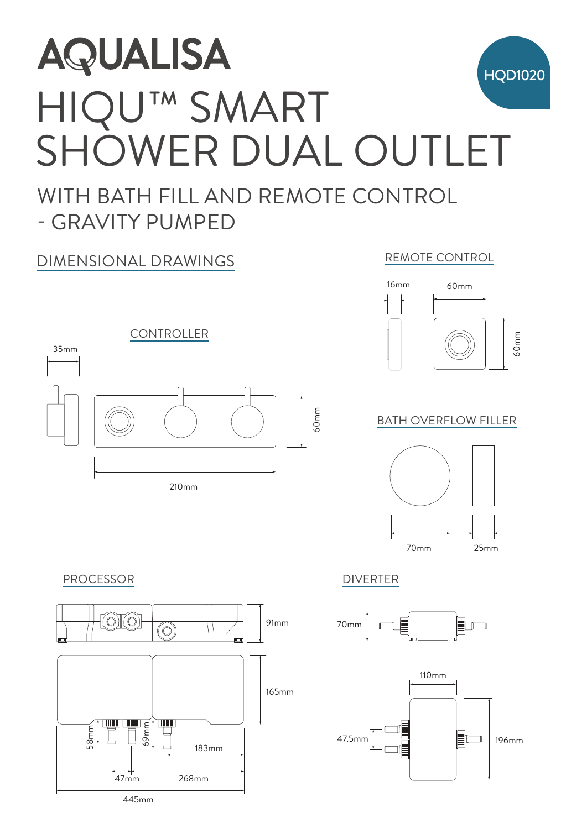

 $\overline{\phantom{0}}$ 

#### BATH OVERFLOW FILLER







### PROCESSOR DIVERTER



210mm